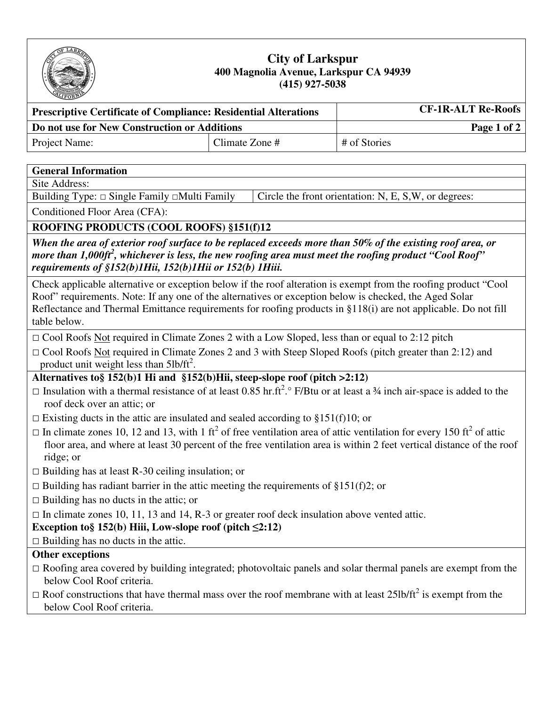

### **City of Larkspur 400 Magnolia Avenue, Larkspur CA 94939 (415) 927-5038**

| <b>Prescriptive Certificate of Compliance: Residential Alterations</b> | <b>CF-1R-ALT Re-Roofs</b> |              |  |
|------------------------------------------------------------------------|---------------------------|--------------|--|
| Do not use for New Construction or Additions                           |                           | Page 1 of 2  |  |
| <b>Project Name:</b>                                                   | Climate Zone #            | # of Stories |  |

### **General Information**

Site Address:

Building Type:  $\Box$  Single Family  $\Box$ Multi Family  $\Box$  Circle the front orientation: N, E, S,W, or degrees:

Conditioned Floor Area (CFA):

### **ROOFING PRODUCTS (COOL ROOFS) §151(f)12**

*When the area of exterior roof surface to be replaced exceeds more than 50% of the existing roof area, or more than 1,000ft<sup>2</sup> , whichever is less, the new roofing area must meet the roofing product "Cool Roof" requirements of §152(b)1Hii, 152(b)1Hii or 152(b) 1Hiii.* 

Check applicable alternative or exception below if the roof alteration is exempt from the roofing product "Cool Roof" requirements. Note: If any one of the alternatives or exception below is checked, the Aged Solar Reflectance and Thermal Emittance requirements for roofing products in §118(i) are not applicable. Do not fill table below.

- $\Box$  Cool Roofs Not required in Climate Zones 2 with a Low Sloped, less than or equal to 2:12 pitch
- □ Cool Roofs Not required in Climate Zones 2 and 3 with Steep Sloped Roofs (pitch greater than 2:12) and product unit weight less than  $5\frac{lb}{ft^2}$ .

**Alternatives to§ 152(b)1 Hi and §152(b)Hii, steep-slope roof (pitch >2:12)** 

- □ Insulation with a thermal resistance of at least 0.85 hr.ft<sup>2</sup>. P/Btu or at least a 34 inch air-space is added to the roof deck over an attic; or
- $\Box$  Existing ducts in the attic are insulated and sealed according to §151(f)10; or
- $\Box$  In climate zones 10, 12 and 13, with 1 ft<sup>2</sup> of free ventilation area of attic ventilation for every 150 ft<sup>2</sup> of attic floor area, and where at least 30 percent of the free ventilation area is within 2 feet vertical distance of the roof ridge; or
- $\Box$  Building has at least R-30 ceiling insulation; or
- $\Box$  Building has radiant barrier in the attic meeting the requirements of §151(f)2; or
- $\Box$  Building has no ducts in the attic; or

 $\Box$  In climate zones 10, 11, 13 and 14, R-3 or greater roof deck insulation above vented attic.

- **Exception to§ 152(b) Hiii, Low-slope roof (pitch**  $\leq$ **2:12)**
- $\Box$  Building has no ducts in the attic.

## **Other exceptions**

- $\Box$  Roofing area covered by building integrated; photovoltaic panels and solar thermal panels are exempt from the below Cool Roof criteria.
- $\Box$  Roof constructions that have thermal mass over the roof membrane with at least 25lb/ft<sup>2</sup> is exempt from the below Cool Roof criteria.